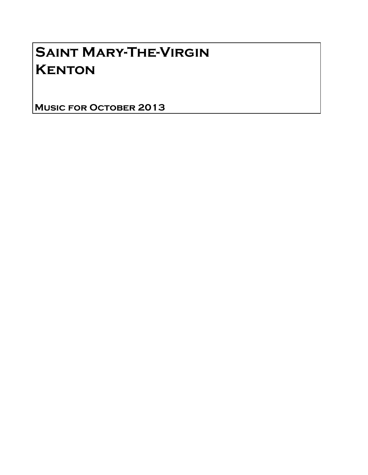# Saint Mary-The-Virgin **KENTON**

Music for October 2013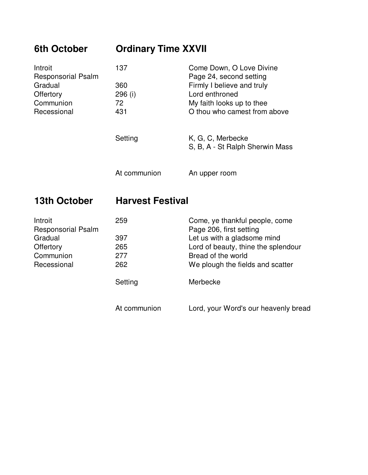| <b>6th October</b>                   | <b>Ordinary Time XXVII</b> |                                                           |  |
|--------------------------------------|----------------------------|-----------------------------------------------------------|--|
| Introit<br><b>Responsorial Psalm</b> | 137                        | Come Down, O Love Divine<br>Page 24, second setting       |  |
| Gradual                              | 360                        | Firmly I believe and truly                                |  |
| Offertory                            | 296 (i)                    | Lord enthroned                                            |  |
| Communion                            | 72                         | My faith looks up to thee                                 |  |
| Recessional                          | 431                        | O thou who camest from above                              |  |
|                                      | Setting                    | K, G, C, Merbecke<br>S, B, A - St Ralph Sherwin Mass      |  |
|                                      | At communion               | An upper room                                             |  |
| 13th October                         | <b>Harvest Festival</b>    |                                                           |  |
| Introit<br><b>Responsorial Psalm</b> | 259                        | Come, ye thankful people, come<br>Page 206, first setting |  |

| <b>Responsorial Psalm</b> |              | Page 206, first setting              |
|---------------------------|--------------|--------------------------------------|
| Gradual                   | 397          | Let us with a gladsome mind          |
| Offertory                 | 265          | Lord of beauty, thine the splendour  |
| Communion                 | 277          | Bread of the world                   |
| Recessional               | 262          | We plough the fields and scatter     |
|                           | Setting      | Merbecke                             |
|                           | At communion | Lord, your Word's our heavenly bread |